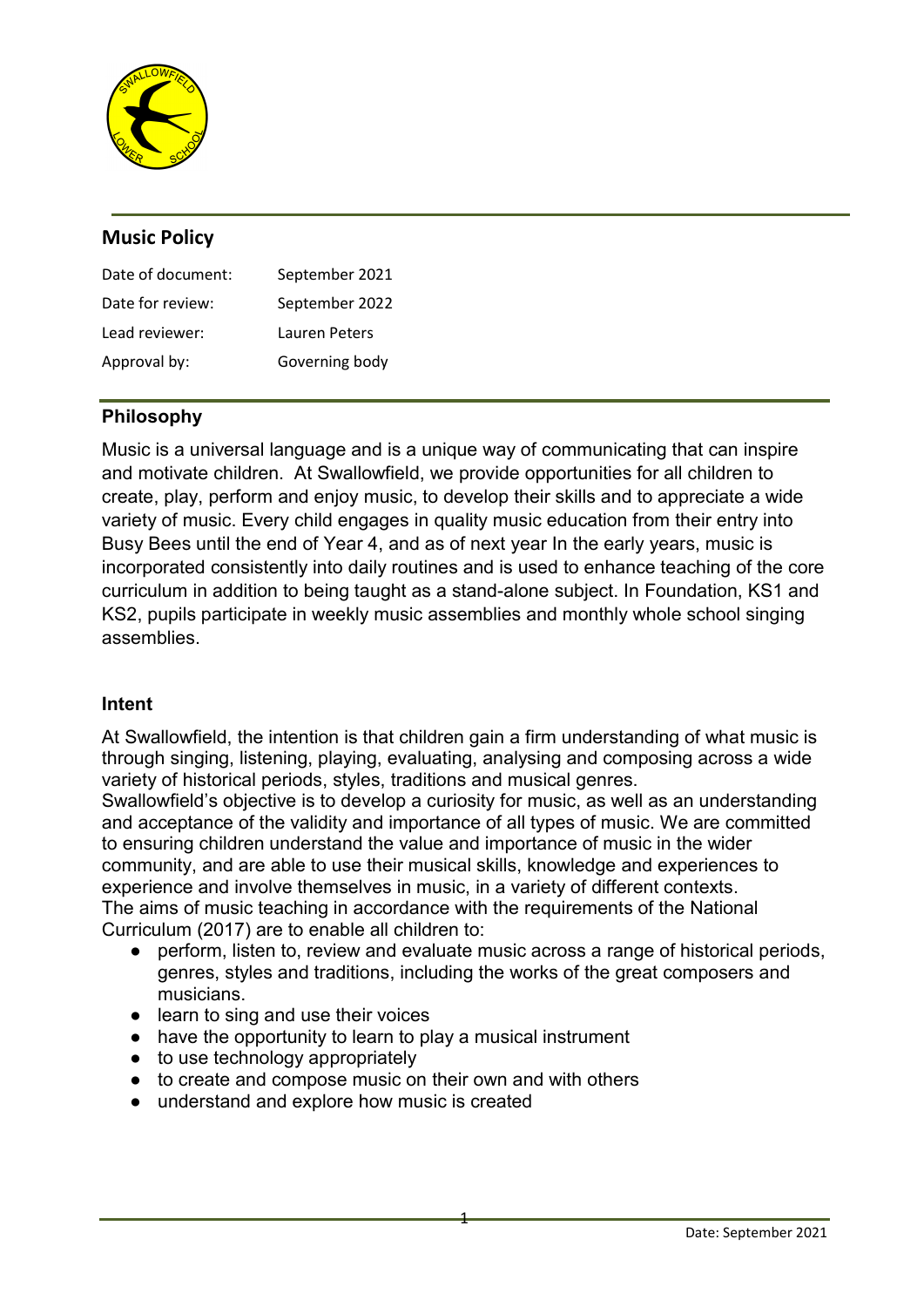

# Music Policy

| Date of document: | September 2021 |
|-------------------|----------------|
| Date for review:  | September 2022 |
| Lead reviewer:    | Lauren Peters  |
| Approval by:      | Governing body |

## Philosophy

Music is a universal language and is a unique way of communicating that can inspire and motivate children. At Swallowfield, we provide opportunities for all children to create, play, perform and enjoy music, to develop their skills and to appreciate a wide variety of music. Every child engages in quality music education from their entry into Busy Bees until the end of Year 4, and as of next year In the early years, music is incorporated consistently into daily routines and is used to enhance teaching of the core curriculum in addition to being taught as a stand-alone subject. In Foundation, KS1 and KS2, pupils participate in weekly music assemblies and monthly whole school singing assemblies.

## Intent

At Swallowfield, the intention is that children gain a firm understanding of what music is through singing, listening, playing, evaluating, analysing and composing across a wide variety of historical periods, styles, traditions and musical genres.

Swallowfield's objective is to develop a curiosity for music, as well as an understanding and acceptance of the validity and importance of all types of music. We are committed to ensuring children understand the value and importance of music in the wider community, and are able to use their musical skills, knowledge and experiences to experience and involve themselves in music, in a variety of different contexts. The aims of music teaching in accordance with the requirements of the National Curriculum (2017) are to enable all children to:

● perform, listen to, review and evaluate music across a range of historical periods, genres, styles and traditions, including the works of the great composers and musicians.

1

- learn to sing and use their voices
- have the opportunity to learn to play a musical instrument
- to use technology appropriately
- to create and compose music on their own and with others
- understand and explore how music is created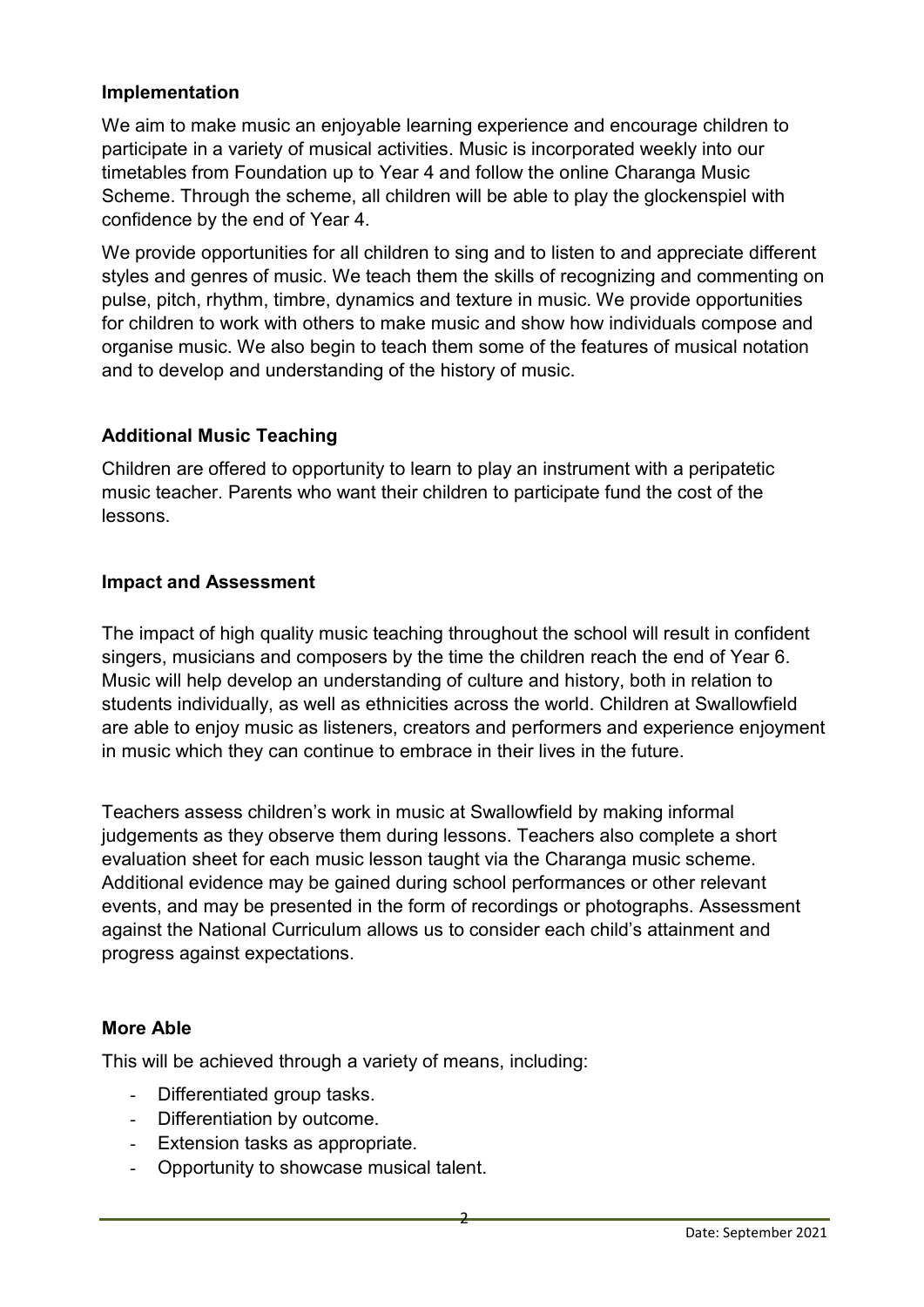#### Implementation

We aim to make music an enjoyable learning experience and encourage children to participate in a variety of musical activities. Music is incorporated weekly into our timetables from Foundation up to Year 4 and follow the online Charanga Music Scheme. Through the scheme, all children will be able to play the glockenspiel with confidence by the end of Year 4.

We provide opportunities for all children to sing and to listen to and appreciate different styles and genres of music. We teach them the skills of recognizing and commenting on pulse, pitch, rhythm, timbre, dynamics and texture in music. We provide opportunities for children to work with others to make music and show how individuals compose and organise music. We also begin to teach them some of the features of musical notation and to develop and understanding of the history of music.

## Additional Music Teaching

Children are offered to opportunity to learn to play an instrument with a peripatetic music teacher. Parents who want their children to participate fund the cost of the lessons.

## Impact and Assessment

The impact of high quality music teaching throughout the school will result in confident singers, musicians and composers by the time the children reach the end of Year 6. Music will help develop an understanding of culture and history, both in relation to students individually, as well as ethnicities across the world. Children at Swallowfield are able to enjoy music as listeners, creators and performers and experience enjoyment in music which they can continue to embrace in their lives in the future.

Teachers assess children's work in music at Swallowfield by making informal judgements as they observe them during lessons. Teachers also complete a short evaluation sheet for each music lesson taught via the Charanga music scheme. Additional evidence may be gained during school performances or other relevant events, and may be presented in the form of recordings or photographs. Assessment against the National Curriculum allows us to consider each child's attainment and progress against expectations.

## More Able

This will be achieved through a variety of means, including:

- Differentiated group tasks.
- Differentiation by outcome.
- Extension tasks as appropriate.
- Opportunity to showcase musical talent.